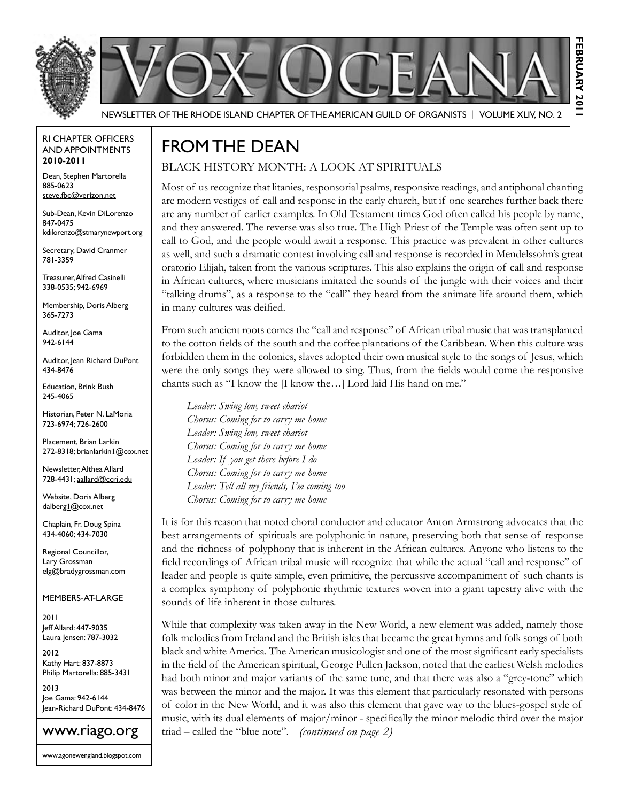



Newsletter of the Rhode Island Chapter of the American Guild of OrganistS | Volume XLIV, No. 2

#### RI Chapter Officers and Appointments **2010-2011**

Dean, Stephen Martorella 885-0623 steve.fbc@verizon.net

Sub-Dean, Kevin DiLorenzo 847-0475 kdilorenzo@stmarynewport.org

Secretary, David Cranmer 781-3359

Treasurer, Alfred Casinelli 338-0535; 942-6969

Membership, Doris Alberg 365-7273

Auditor, Joe Gama 942-6144

Auditor, Jean Richard DuPont 434-8476

Education, Brink Bush 245-4065

Historian, Peter N. LaMoria 723-6974; 726-2600

Placement, Brian Larkin 272-8318; brianlarkin1@cox.net

Newsletter, Althea Allard 728-4431; aallard@ccri.edu

Website, Doris Alberg dalberg1@cox.net

Chaplain, Fr. Doug Spina 434-4060; 434-7030

Regional Councillor, Lary Grossman elg@bradygrossman.com

Members-at-Large

2011 Jeff Allard: 447-9035 Laura Jensen: 787-3032

2012 Kathy Hart: 837-8873 Philip Martorella: 885-3431

2013 Joe Gama: 942-6144 Jean-Richard DuPont: 434-8476



www.agonewengland.blogspot.com

# From the Dean

#### Black History Month: A Look at Spirituals

Most of us recognize that litanies, responsorial psalms, responsive readings, and antiphonal chanting are modern vestiges of call and response in the early church, but if one searches further back there are any number of earlier examples. In Old Testament times God often called his people by name, and they answered. The reverse was also true. The High Priest of the Temple was often sent up to call to God, and the people would await a response. This practice was prevalent in other cultures as well, and such a dramatic contest involving call and response is recorded in Mendelssohn's great oratorio Elijah, taken from the various scriptures. This also explains the origin of call and response in African cultures, where musicians imitated the sounds of the jungle with their voices and their "talking drums", as a response to the "call" they heard from the animate life around them, which in many cultures was deified.

**february 2011**

FEBRUARY 20

From such ancient roots comes the "call and response" of African tribal music that was transplanted to the cotton fields of the south and the coffee plantations of the Caribbean. When this culture was forbidden them in the colonies, slaves adopted their own musical style to the songs of Jesus, which were the only songs they were allowed to sing. Thus, from the fields would come the responsive chants such as "I know the [I know the…] Lord laid His hand on me."

*Leader: Swing low, sweet chariot Chorus: Coming for to carry me home Leader: Swing low, sweet chariot Chorus: Coming for to carry me home Leader: If you get there before I do Chorus: Coming for to carry me home Leader: Tell all my friends, I'm coming too Chorus: Coming for to carry me home*

It is for this reason that noted choral conductor and educator Anton Armstrong advocates that the best arrangements of spirituals are polyphonic in nature, preserving both that sense of response and the richness of polyphony that is inherent in the African cultures. Anyone who listens to the field recordings of African tribal music will recognize that while the actual "call and response" of leader and people is quite simple, even primitive, the percussive accompaniment of such chants is a complex symphony of polyphonic rhythmic textures woven into a giant tapestry alive with the sounds of life inherent in those cultures.

While that complexity was taken away in the New World, a new element was added, namely those folk melodies from Ireland and the British isles that became the great hymns and folk songs of both black and white America. The American musicologist and one of the most significant early specialists in the field of the American spiritual, George Pullen Jackson, noted that the earliest Welsh melodies had both minor and major variants of the same tune, and that there was also a "grey-tone" which was between the minor and the major. It was this element that particularly resonated with persons of color in the New World, and it was also this element that gave way to the blues-gospel style of music, with its dual elements of major/minor - specifically the minor melodic third over the major triad – called the "blue note". *(continued on page 2)*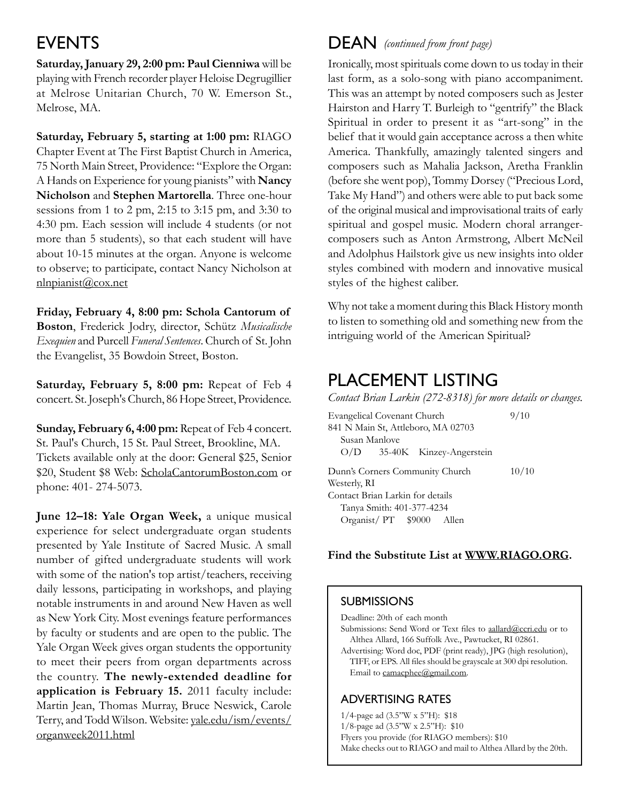## **EVENTS**

**Saturday, January 29, 2:00 pm: Paul Cienniwa** will be playing with French recorder player Heloise Degrugillier at Melrose Unitarian Church, 70 W. Emerson St., Melrose, MA.

**Saturday, February 5, starting at 1:00 pm:** RIAGO Chapter Event at The First Baptist Church in America, 75 North Main Street, Providence: "Explore the Organ: A Hands on Experience for young pianists" with **Nancy Nicholson** and **Stephen Martorella**. Three one-hour sessions from 1 to 2 pm, 2:15 to 3:15 pm, and 3:30 to 4:30 pm. Each session will include 4 students (or not more than 5 students), so that each student will have about 10-15 minutes at the organ. Anyone is welcome to observe; to participate, contact Nancy Nicholson at nlnpianist@cox.net

**Friday, February 4, 8:00 pm: Schola Cantorum of Boston**, Frederick Jodry, director, Schütz *Musicalische Exequien* and Purcell *Funeral Sentences*. Church of St. John the Evangelist, 35 Bowdoin Street, Boston.

**Saturday, February 5, 8:00 pm:** Repeat of Feb 4 concert. St. Joseph's Church, 86 Hope Street, Providence.

**Sunday, February 6, 4:00 pm:** Repeat of Feb 4 concert. St. Paul's Church, 15 St. Paul Street, Brookline, MA. Tickets available only at the door: General \$25, Senior \$20, Student \$8 Web: ScholaCantorumBoston.com or phone: 401- 274-5073.

**June 12–18: Yale Organ Week,** a unique musical experience for select undergraduate organ students presented by Yale Institute of Sacred Music. A small number of gifted undergraduate students will work with some of the nation's top artist/teachers, receiving daily lessons, participating in workshops, and playing notable instruments in and around New Haven as well as New York City. Most evenings feature performances by faculty or students and are open to the public. The Yale Organ Week gives organ students the opportunity to meet their peers from organ departments across the country. **The newly-extended deadline for application is February 15.** 2011 faculty include: Martin Jean, Thomas Murray, Bruce Neswick, Carole Terry, and Todd Wilson. Website: yale.edu/ism/events/ organweek2011.html

### DEAN (continued from front page)

Ironically, most spirituals come down to us today in their last form, as a solo-song with piano accompaniment. This was an attempt by noted composers such as Jester Hairston and Harry T. Burleigh to "gentrify" the Black Spiritual in order to present it as "art-song" in the belief that it would gain acceptance across a then white America. Thankfully, amazingly talented singers and composers such as Mahalia Jackson, Aretha Franklin (before she went pop), Tommy Dorsey ("Precious Lord, Take My Hand") and others were able to put back some of the original musical and improvisational traits of early spiritual and gospel music. Modern choral arrangercomposers such as Anton Armstrong, Albert McNeil and Adolphus Hailstork give us new insights into older styles combined with modern and innovative musical styles of the highest caliber.

Why not take a moment during this Black History month to listen to something old and something new from the intriguing world of the American Spiritual?

### PLACEMENT LISTING

| Contact Brian Larkin (272-8318) for more details or changes. |       |
|--------------------------------------------------------------|-------|
| Evangelical Covenant Church                                  | 9/10  |
| 841 N Main St, Attleboro, MA 02703                           |       |
| Susan Manlove                                                |       |
| $O/D$ 35-40K Kinzey-Angerstein                               |       |
| Dunn's Corners Community Church                              | 10/10 |
| Westerly, RI                                                 |       |
| Contact Brian Larkin for details                             |       |
| Tanya Smith: 401-377-4234                                    |       |
| Organist/PT \$9000 Allen                                     |       |

#### Find the Substitute List at WWW.RIAGO.ORG.

#### **SUBMISSIONS**

Deadline: 20th of each month

- Submissions: Send Word or Text files to aallard@ccri.edu or to Althea Allard, 166 Suffolk Ave., Pawtucket, RI 02861.
- Advertising: Word doc, PDF (print ready), JPG (high resolution), TIFF, or EPS. All files should be grayscale at 300 dpi resolution. Email to camacphee@gmail.com.

### Advertising Rates

1/4-page ad (3.5"W x 5"H): \$18 1/8-page ad (3.5"W x 2.5"H): \$10 Flyers you provide (for RIAGO members): \$10 Make checks out to RIAGO and mail to Althea Allard by the 20th.